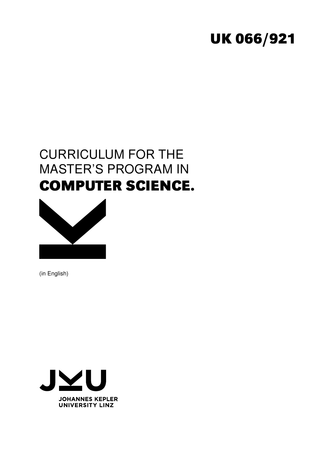# **UK 066/921**

# CURRICULUM FOR THE MASTER'S PROGRAM IN **COMPUTER SCIENCE.**



(in English)

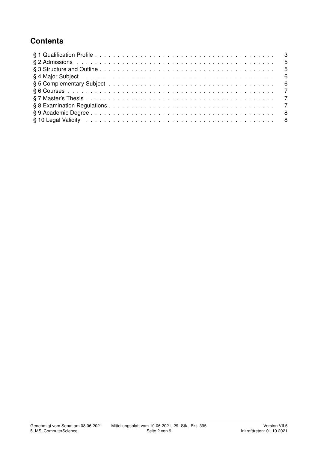## **Contents**

| § 10 Legal Validity (also contained a server contained a server contained a server contained a server contained by $\sim$ 8 |  |
|-----------------------------------------------------------------------------------------------------------------------------|--|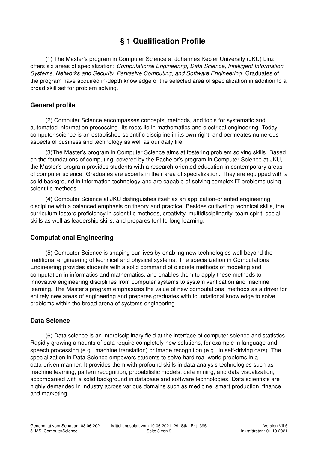# § 1 Qualification Profile

(1) The Master's program in Computer Science at Johannes Kepler University (JKU) Linz offers six areas of specialization: Computational Engineering, Data Science, Intelligent Information Systems, Networks and Security, Pervasive Computing, and Software Engineering. Graduates of the program have acquired in-depth knowledge of the selected area of specialization in addition to a broad skill set for problem solving.

#### General profile

(2) Computer Science encompasses concepts, methods, and tools for systematic and automated information processing. Its roots lie in mathematics and electrical engineering. Today, computer science is an established scientific discipline in its own right, and permeates numerous aspects of business and technology as well as our daily life.

(3)The Master's program in Computer Science aims at fostering problem solving skills. Based on the foundations of computing, covered by the Bachelor's program in Computer Science at JKU, the Master's program provides students with a research-oriented education in contemporary areas of computer science. Graduates are experts in their area of specialization. They are equipped with a solid background in information technology and are capable of solving complex IT problems using scientific methods.

(4) Computer Science at JKU distinguishes itself as an application-oriented engineering discipline with a balanced emphasis on theory and practice. Besides cultivating technical skills, the curriculum fosters proficiency in scientific methods, creativity, multidisciplinarity, team spirit, social skills as well as leadership skills, and prepares for life-long learning.

#### Computational Engineering

(5) Computer Science is shaping our lives by enabling new technologies well beyond the traditional engineering of technical and physical systems. The specialization in Computational Engineering provides students with a solid command of discrete methods of modeling and computation in informatics and mathematics, and enables them to apply these methods to innovative engineering disciplines from computer systems to system verification and machine learning. The Master's program emphasizes the value of new computational methods as a driver for entirely new areas of engineering and prepares graduates with foundational knowledge to solve problems within the broad arena of systems engineering.

#### Data Science

(6) Data science is an interdisciplinary field at the interface of computer science and statistics. Rapidly growing amounts of data require completely new solutions, for example in language and speech processing (e.g., machine translation) or image recognition (e.g., in self-driving cars). The specialization in Data Science empowers students to solve hard real-world problems in a data-driven manner. It provides them with profound skills in data analysis technologies such as machine learning, pattern recognition, probabilistic models, data mining, and data visualization, accompanied with a solid background in database and software technologies. Data scientists are highly demanded in industry across various domains such as medicine, smart production, finance and marketing.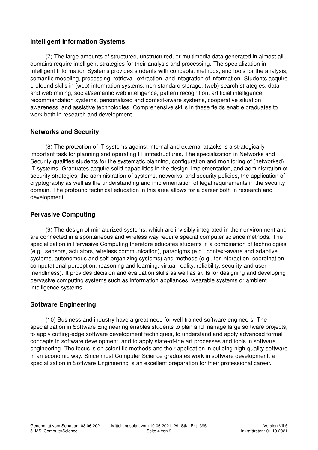#### Intelligent Information Systems

(7) The large amounts of structured, unstructured, or multimedia data generated in almost all domains require intelligent strategies for their analysis and processing. The specialization in Intelligent Information Systems provides students with concepts, methods, and tools for the analysis, semantic modeling, processing, retrieval, extraction, and integration of information. Students acquire profound skills in (web) information systems, non-standard storage, (web) search strategies, data and web mining, social/semantic web intelligence, pattern recognition, artificial intelligence, recommendation systems, personalized and context-aware systems, cooperative situation awareness, and assistive technologies. Comprehensive skills in these fields enable graduates to work both in research and development.

#### Networks and Security

(8) The protection of IT systems against internal and external attacks is a strategically important task for planning and operating IT infrastructures. The specialization in Networks and Security qualifies students for the systematic planning, configuration and monitoring of (networked) IT systems. Graduates acquire solid capabilities in the design, implementation, and administration of security strategies, the administration of systems, networks, and security policies, the application of cryptography as well as the understanding and implementation of legal requirements in the security domain. The profound technical education in this area allows for a career both in research and development.

#### Pervasive Computing

(9) The design of miniaturized systems, which are invisibly integrated in their environment and are connected in a spontaneous and wireless way require special computer science methods. The specialization in Pervasive Computing therefore educates students in a combination of technologies (e.g., sensors, actuators, wireless communication), paradigms (e.g., context-aware and adaptive systems, autonomous and self-organizing systems) and methods (e.g., for interaction, coordination, computational perception, reasoning and learning, virtual reality, reliability, security and user friendliness). It provides decision and evaluation skills as well as skills for designing and developing pervasive computing systems such as information appliances, wearable systems or ambient intelligence systems.

#### Software Engineering

(10) Business and industry have a great need for well-trained software engineers. The specialization in Software Engineering enables students to plan and manage large software projects, to apply cutting-edge software development techniques, to understand and apply advanced formal concepts in software development, and to apply state-of-the art processes and tools in software engineering. The focus is on scientific methods and their application in building high-quality software in an economic way. Since most Computer Science graduates work in software development, a specialization in Software Engineering is an excellent preparation for their professional career.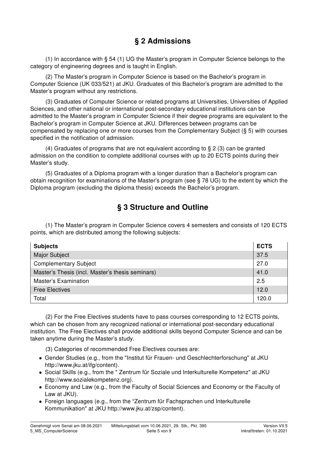## § 2 Admissions

(1) In accordance with § 54 (1) UG the Master's program in Computer Science belongs to the category of engineering degrees and is taught in English.

(2) The Master's program in Computer Science is based on the Bachelor's program in Computer Science (UK 033/521) at JKU. Graduates of this Bachelor's program are admitted to the Master's program without any restrictions.

(3) Graduates of Computer Science or related programs at Universities, Universities of Applied Sciences, and other national or international post-secondary educational institutions can be admitted to the Master's program in Computer Science if their degree programs are equivalent to the Bachelor's program in Computer Science at JKU. Differences between programs can be compensated by replacing one or more courses from the Complementary Subject (§ 5) with courses specified in the notification of admission.

(4) Graduates of programs that are not equivalent according to § 2 (3) can be granted admission on the condition to complete additional courses with up to 20 ECTS points during their Master's study.

(5) Graduates of a Diploma program with a longer duration than a Bachelor's program can obtain recognition for examinations of the Master's program (see § 78 UG) to the extent by which the Diploma program (excluding the diploma thesis) exceeds the Bachelor's program.

## § 3 Structure and Outline

(1) The Master's program in Computer Science covers 4 semesters and consists of 120 ECTS points, which are distributed among the following subjects:

| <b>Subjects</b>                                  | <b>ECTS</b> |  |  |
|--------------------------------------------------|-------------|--|--|
| <b>Major Subject</b>                             | 37.5        |  |  |
| <b>Complementary Subject</b>                     | 27.0        |  |  |
| Master's Thesis (incl. Master's thesis seminars) | 41.0        |  |  |
| Master's Examination                             |             |  |  |
| <b>Free Electives</b>                            |             |  |  |
| Total                                            | 120.0       |  |  |

(2) For the Free Electives students have to pass courses corresponding to 12 ECTS points, which can be chosen from any recognized national or international post-secondary educational institution. The Free Electives shall provide additional skills beyond Computer Science and can be taken anytime during the Master's study.

(3) Categories of recommended Free Electives courses are:

- Gender Studies (e.g., from the "Institut für Frauen- und Geschlechterforschung" at JKU http://www.jku.at/ifg/content).
- Social Skills (e.g., from the " Zentrum für Soziale und Interkulturelle Kompetenz" at JKU http://www.sozialekompetenz.org).
- Economy and Law (e.g., from the Faculty of Social Sciences and Economy or the Faculty of Law at JKU).
- Foreign languages (e.g., from the "Zentrum für Fachsprachen und Interkulturelle Kommunikation" at JKU http://www.jku.at/zsp/content).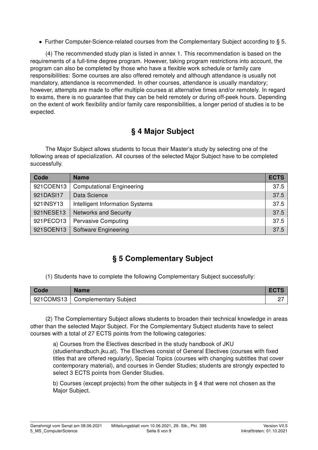• Further Computer-Science-related courses from the Complementary Subject according to § 5.

(4) The recommended study plan is listed in annex 1. This recommendation is based on the requirements of a full-time degree program. However, taking program restrictions into account, the program can also be completed by those who have a flexible work schedule or family care responsibilities: Some courses are also offered remotely and although attendance is usually not mandatory, attendance is recommended. In other courses, attendance is usually mandatory; however, attempts are made to offer multiple courses at alternative times and/or remotely. In regard to exams, there is no guarantee that they can be held remotely or during off-peek hours. Depending on the extent of work flexibility and/or family care responsibilities, a longer period of studies is to be expected.

## § 4 Major Subject

The Major Subject allows students to focus their Master's study by selecting one of the following areas of specialization. All courses of the selected Major Subject have to be completed successfully.

| Code      | <b>Name</b>                      | <b>ECTS</b> |
|-----------|----------------------------------|-------------|
| 921COEN13 | <b>Computational Engineering</b> | 37.5        |
| 921DASI17 | Data Science                     | 37.5        |
| 921INSY13 | Intelligent Information Systems  | 37.5        |
| 921NESE13 | <b>Networks and Security</b>     | 37.5        |
| 921PECO13 | <b>Pervasive Computing</b>       | 37.5        |
| 921SOEN13 | Software Engineering             | 37.5        |

## § 5 Complementary Subject

(1) Students have to complete the following Complementary Subject successfully:

| Code      | <b>Name</b>           |  |
|-----------|-----------------------|--|
| 921COMS13 | Complementary Subject |  |

(2) The Complementary Subject allows students to broaden their technical knowledge in areas other than the selected Major Subject. For the Complementary Subject students have to select courses with a total of 27 ECTS points from the following categories:

a) Courses from the Electives described in the study handbook of JKU (studienhandbuch.jku.at). The Electives consist of General Electives (courses with fixed titles that are offered regularly), Special Topics (courses with changing subtitles that cover contemporary material), and courses in Gender Studies; students are strongly expected to select 3 ECTS points from Gender Studies.

b) Courses (except projects) from the other subjects in § 4 that were not chosen as the Major Subject.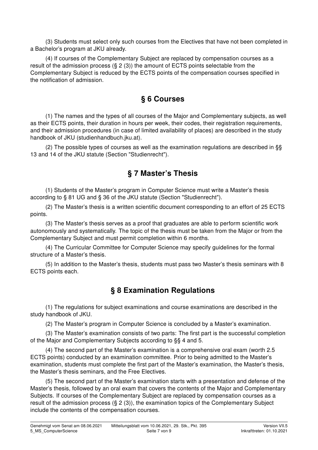(3) Students must select only such courses from the Electives that have not been completed in a Bachelor's program at JKU already.

(4) If courses of the Complementary Subject are replaced by compensation courses as a result of the admission process  $(S_2(3))$  the amount of ECTS points selectable from the Complementary Subject is reduced by the ECTS points of the compensation courses specified in the notification of admission.

### § 6 Courses

(1) The names and the types of all courses of the Major and Complementary subjects, as well as their ECTS points, their duration in hours per week, their codes, their registration requirements, and their admission procedures (in case of limited availability of places) are described in the study handbook of JKU (studienhandbuch.jku.at).

(2) The possible types of courses as well as the examination regulations are described in §§ 13 and 14 of the JKU statute (Section "Studienrecht").

### § 7 Master's Thesis

(1) Students of the Master's program in Computer Science must write a Master's thesis according to § 81 UG and § 36 of the JKU statute (Section "Studienrecht").

(2) The Master's thesis is a written scientific document corresponding to an effort of 25 ECTS points.

(3) The Master's thesis serves as a proof that graduates are able to perform scientific work autonomously and systematically. The topic of the thesis must be taken from the Major or from the Complementary Subject and must permit completion within 6 months.

(4) The Curricular Committee for Computer Science may specify guidelines for the formal structure of a Master's thesis.

(5) In addition to the Master's thesis, students must pass two Master's thesis seminars with 8 ECTS points each.

## § 8 Examination Regulations

(1) The regulations for subject examinations and course examinations are described in the study handbook of JKU.

(2) The Master's program in Computer Science is concluded by a Master's examination.

(3) The Master's examination consists of two parts: The first part is the successful completion of the Major and Complementary Subjects according to §§ 4 and 5.

(4) The second part of the Master's examination is a comprehensive oral exam (worth 2.5 ECTS points) conducted by an examination committee. Prior to being admitted to the Master's examination, students must complete the first part of the Master's examination, the Master's thesis, the Master's thesis seminars, and the Free Electives.

(5) The second part of the Master's examination starts with a presentation and defense of the Master's thesis, followed by an oral exam that covers the contents of the Major and Complementary Subjects. If courses of the Complementary Subject are replaced by compensation courses as a result of the admission process (§ 2 (3)), the examination topics of the Complementary Subject include the contents of the compensation courses.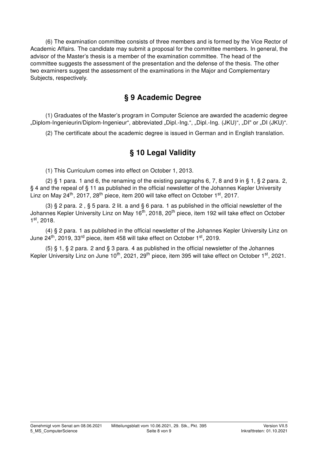(6) The examination committee consists of three members and is formed by the Vice Rector of Academic Affairs. The candidate may submit a proposal for the committee members. In general, the advisor of the Master's thesis is a member of the examination committee. The head of the committee suggests the assessment of the presentation and the defense of the thesis. The other two examiners suggest the assessment of the examinations in the Major and Complementary Subjects, respectively.

### § 9 Academic Degree

(1) Graduates of the Master's program in Computer Science are awarded the academic degree "Diplom-Ingenieurin/Diplom-Ingenieur", abbreviated "Dipl.-Ing.", "Dipl.-Ing. (JKU)", "DI" or "DI (JKU)".

(2) The certificate about the academic degree is issued in German and in English translation.

## § 10 Legal Validity

(1) This Curriculum comes into effect on October 1, 2013.

(2)  $\S$  1 para. 1 and 6, the renaming of the existing paragraphs 6, 7, 8 and 9 in  $\S$  1,  $\S$  2 para. 2, § 4 and the repeal of § 11 as published in the official newsletter of the Johannes Kepler University Linz on May  $24^{th}$ , 2017,  $28^{th}$  piece, item 200 will take effect on October 1st, 2017.

(3) § 2 para. 2, § 5 para. 2 lit. a and § 6 para. 1 as published in the official newsletter of the Johannes Kepler University Linz on May 16<sup>th</sup>, 2018, 20<sup>th</sup> piece, item 192 will take effect on October 1 st, 2018.

(4) § 2 para. 1 as published in the official newsletter of the Johannes Kepler University Linz on June  $24<sup>th</sup>$ , 2019, 33<sup>rd</sup> piece, item 458 will take effect on October 1<sup>st</sup>, 2019.

(5)  $\S$  1,  $\S$  2 para. 2 and  $\S$  3 para. 4 as published in the official newsletter of the Johannes Kepler University Linz on June 10<sup>th</sup>, 2021, 29<sup>th</sup> piece, item 395 will take effect on October 1<sup>st</sup>, 2021.